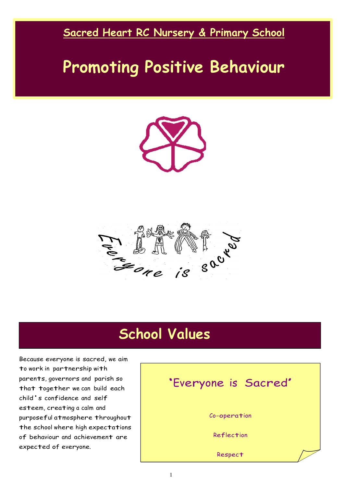#### **Sacred Heart RC Nursery & Primary School**

# **Promoting Positive Behaviour**





## **School Values**

Because everyone is sacred, we aim to work in partnership with parents, governors and parish so that together we can build each child's confidence and self esteem, creating a calm and purposeful atmosphere throughout the school where high expectations of behaviour and achievement are expected of everyone.

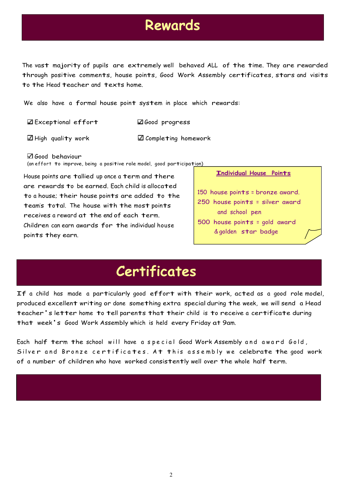### **Rewards**

The vast majority of pupils are extremely well behaved ALL of the time. They are rewarded through positive comments, house points, Good Work Assembly certificates, stars and visits to the Head teacher and texts home.

We also have a formal house point system in place which rewards:

Exceptional effort Good progress

 $\Box$  High quality work  $\Box$  Completing homework

Good behaviour

(an effort to improve, being a positive role model, good participation)

House points are tallied up once a term and there are rewards to be earned. Each child is allocated to a house; their house points are added to the team's total. The house with the most points receives a reward at the end of each term. Children can earn awards for the individual house points they earn.

#### **Individual House Points**

150 house points = bronze award.

- 250 house points = silver award and school pen
- 500 house points = gold award & golden star badge

# **Certificates**

If a child has made a particularly good effort with their work, acted as a good role model, produced excellent writing or done something extra special during the week, we will send a Head teacher's letter home to tell parents that their child is to receive a certificate during that week's Good Work Assembly which is held every Friday at 9am.

Each half term the school will have a special Good Work Assembly and award Gold, Silver and Bronze certificates. At this assembly we celebrate the good work of a number of children who have worked consistently well over the whole half term.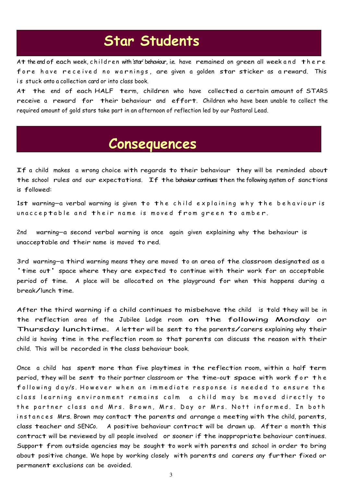# **Star Students**

At the end of each week, children with 'star' behaviour, i.e. have remained on green all week and there fore have received no warnings, are given a golden star sticker as a reward. This is stuck onto a collection card or into class book.

At the end of each HALF term, children who have collected a certain amount of STARS receive a reward for their behaviour and effort. Children who have been unable to collect the required amount of gold stars take part in an afternoon of reflection led by our Pastoral Lead.

### **Consequences**

If a child makes a wrong choice with regards to their behaviour they will be reminded about the school rules and our expectations. If the behaviour continues then the following system of sanctions is followed:

1st warning-a verbal warning is given to the child explaining why the behaviour is unacceptable and their name is moved from green to amber.

2nd warning—a second verbal warning is once again given explaining why the behaviour is unacceptable and their name is moved to red.

3rd warning—a third warning means they are moved to an area of the classroom designated as a 'time out' space where they are expected to continue with their work for an acceptable period of time. A place will be allocated on the playground for when this happens during <sup>a</sup> break/lunch time.

After the third warning if a child continues to misbehave the child is told they will be in the reflection area of the Jubilee Lodge room on the following Monday or Thursday lunchtime. A letter will be sent to the parents/carers explaining why their child is having time in the reflection room so that parents can discuss the reason with their child. This will be recorded in the class behaviour book.

Once a child has spent more than five playtimes in the reflection room, within a half term period, they will be sent to their partner classroom or the time-out space with work for the following day/s. However when an immediate response is needed to ensure the class learning environment remains calm a child may be moved directly to the partner class and Mrs. Brown, Mrs. Day or Mrs. Nott informed. In both instances Mrs. Brown may contact the parents and arrange a meeting with the child, parents, class teacher and SENCo. A positive behaviour contract will be drawn up. After a month this contract will be reviewed by all people involved or sooner if the inappropriate behaviour continues. Support from outside agencies may be sought to work with parents and school in order to bring about positive change. We hope by working closely with parents and carers any further fixed or permanent exclusions can be avoided.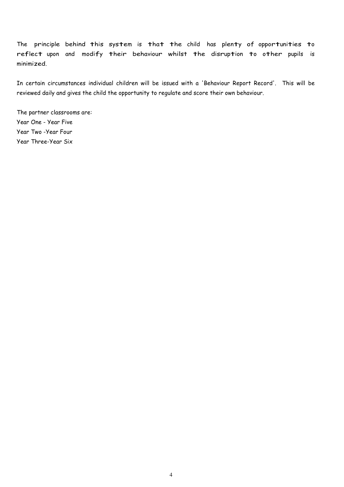The principle behind this system is that the child has plenty of opportunities to reflect upon and modify their behaviour whilst the disruption to other pupils is minimized.

In certain circumstances individual children will be issued with a 'Behaviour Report Record'. This will be reviewed daily and gives the child the opportunity to regulate and score their own behaviour.

The partner classrooms are: Year One - Year Five Year Two -Year Four Year Three-Year Six